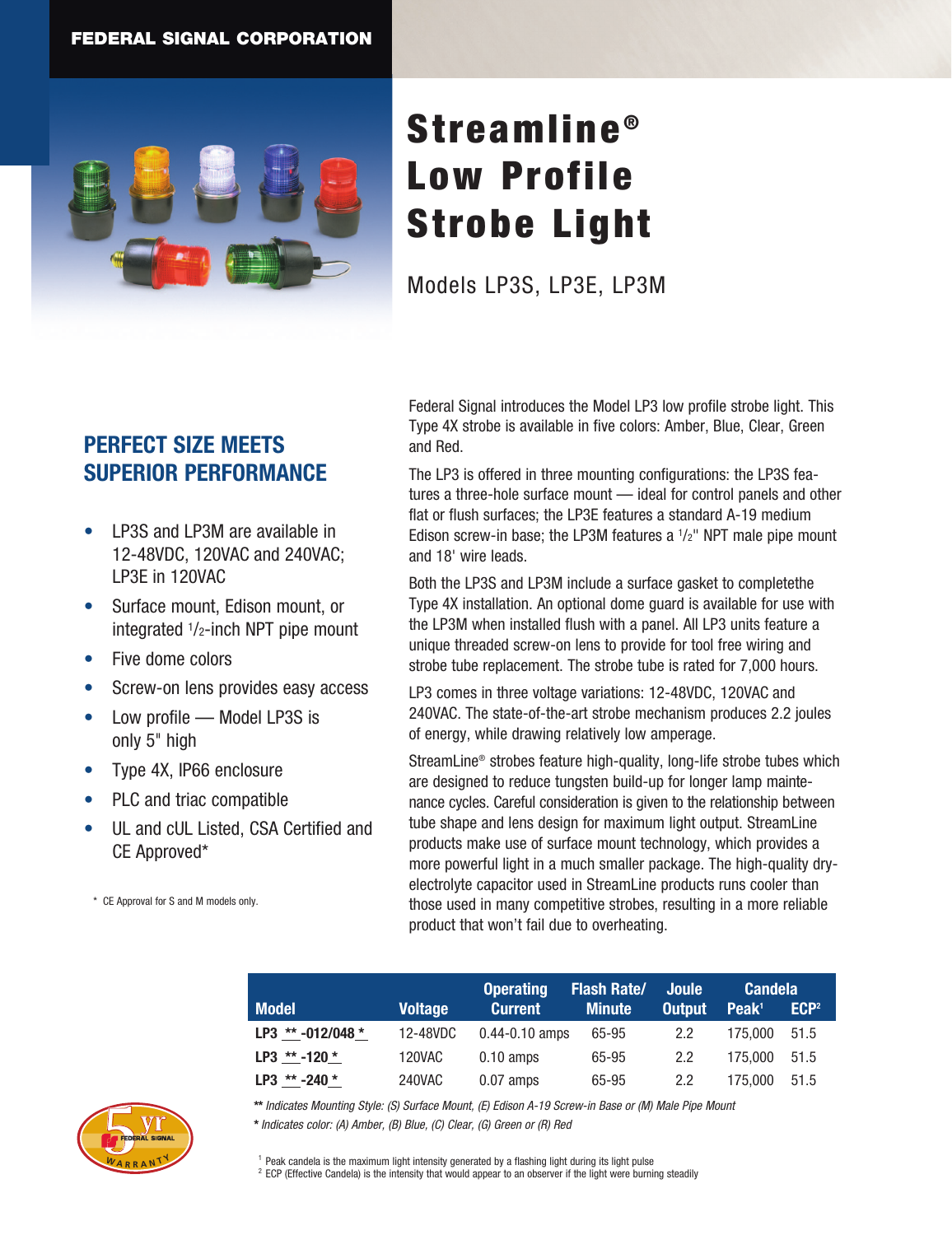

# Streamline<sup>®</sup> Low Profile Strobe Light

Models LP3S, LP3E, LP3M

## **PERFECT SIZE MEETS SUPERIOR PERFORMANCE**

- LP3S and LP3M are available in 12-48VDC, 120VAC and 240VAC; LP3E in 120VAC
- Surface mount, Edison mount, or integrated 1/2-inch NPT pipe mount
- Five dome colors
- Screw-on lens provides easy access
- Low profile Model LP3S is only 5" high
- Type 4X, IP66 enclosure
- PLC and triac compatible
- UL and cUL Listed, CSA Certified and CE Approved\*

\* CE Approval for S and M models only.

Federal Signal introduces the Model LP3 low profile strobe light. This Type 4X strobe is available in five colors: Amber, Blue, Clear, Green and Red.

The LP3 is offered in three mounting configurations: the LP3S features a three-hole surface mount — ideal for control panels and other flat or flush surfaces; the LP3E features a standard A-19 medium Edison screw-in base; the LP3M features a  $1/2$ " NPT male pipe mount and 18' wire leads.

Both the LP3S and LP3M include a surface gasket to completethe Type 4X installation. An optional dome guard is available for use with the LP3M when installed flush with a panel. All LP3 units feature a unique threaded screw-on lens to provide for tool free wiring and strobe tube replacement. The strobe tube is rated for 7,000 hours.

LP3 comes in three voltage variations: 12-48VDC, 120VAC and 240VAC. The state-of-the-art strobe mechanism produces 2.2 joules of energy, while drawing relatively low amperage.

StreamLine® strobes feature high-quality, long-life strobe tubes which are designed to reduce tungsten build-up for longer lamp maintenance cycles. Careful consideration is given to the relationship between tube shape and lens design for maximum light output. StreamLine products make use of surface mount technology, which provides a more powerful light in a much smaller package. The high-quality dryelectrolyte capacitor used in StreamLine products runs cooler than those used in many competitive strobes, resulting in a more reliable product that won't fail due to overheating.

|                     |                | <b>Operating</b>    | <b>Flash Rate/</b> | <b>Joule</b> | <b>Candela</b>    |                  |
|---------------------|----------------|---------------------|--------------------|--------------|-------------------|------------------|
| <b>Model</b>        | <b>Voltage</b> | <b>Current</b>      | <b>Minute</b>      | Output       | Peak <sup>1</sup> | ECP <sup>2</sup> |
| LP3 $** -012/048 *$ | 12-48VDC       | $0.44 - 0.10$ amps  | 65-95              | 2.2          | 175.000           | 51.5             |
| LP3 $** -120 *$     | 120VAC         | $0.10 \text{ amps}$ | 65-95              | 2.2          | 175,000           | 51.5             |
| $LP3$ ** -240 *     | 240VAC         | $0.07$ amps         | 65-95              | 2.2          | 175.000           | 51.5             |

**\*\*** *Indicates Mounting Style: (S) Surface Mount, (E) Edison A-19 Screw-in Base or (M) Male Pipe Mount*

**\*** *Indicates color: (A) Amber, (B) Blue, (C) Clear, (G) Green or (R) Red*



<sup>1</sup> Peak candela is the maximum light intensity generated by a flashing light during its light pulse  $2$  ECP (Effective Candela) is the intensity that would appear to an observer if the light were burning steadily